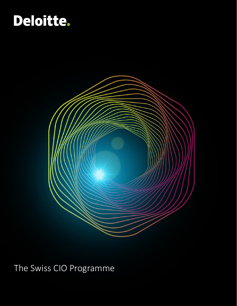# Deloitte.



The Swiss CIO Programme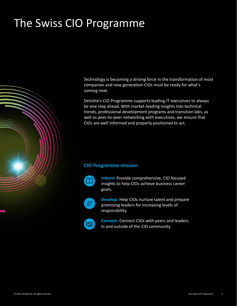## The Swiss CIO Programme



Technology is becoming a driving force in the transformation of most companies and new generation CIOs must be ready for what's coming next.

Deloitte's CIO Programme supports leading IT executives to always be one step ahead. With market-leading insights into technical trends, professional development programs and transition labs, as well as peer-to-peer networking with executives, we ensure that CIOs are well informed and properly positioned to act.

#### **CIO Programme mission**



**Inform:** Provide comprehensive, CIO focused insights to help CIOs achieve business career goals.



**Develop:** Help CIOs nurture talent and prepare promising leaders for increasing levels of responsibility.



**Connect:** Connect CIOs with peers and leaders in and outside of the CIO community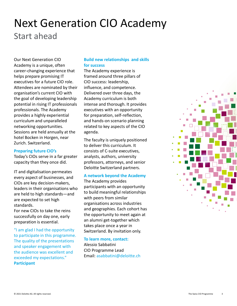### Start ahead Next Generation CIO Academy

Our Next Generation CIO Academy is a unique, often career-changing experience that helps prepare promising IT executives for a future CIO role. Attendees are nominated by their organisation's current CIO with the goal of developing leadership potential in rising IT professionals professionals. The Academy provides a highly experiential curriculum and unparalleled networking opportunities. Sessions are held annually at the hotel Bocken in Horgen, near Zurich. Switzerland.

#### **Preparing future CIO's**

Today's CIOs serve in a far greater capacity than they once did.

IT and digitalisation permeates every aspect of businesses, and CIOs are key decision-makers, leaders in their organisations who are held to high standards—and are expected to set high standards.

For new CIOs to take the reins successfully on day one, early preparation is essential.

"I am glad I had the opportunity to participate in this programme. The quality of the presentations and speaker engagement with the audience was excellent and exceeded my expectations." **Participant**

#### **Build new relationships and skills for success**

The Academy experience is framed around three pillars of CIO success: leadership, influence, and competence. Delivered over three days, the Academy curriculum is both intense and thorough. It provides executives with an opportunity for preparation, self-reflection, and hands-on scenario planning related to key aspects of the CIO agenda.

The faculty is uniquely positioned to deliver this curriculum. It consists of C-suite executives, analysts, authors, university professors, attorneys, and senior Deloitte Switzerland partners.

#### **A network beyond the Academy**

The Academy provides participants with an opportunity to build meaningful relationships with peers from similar organisations across industries and geographies. Each cohort has the opportunity to meet again at an alumni get-together which takes place once a year in Switzerland. By invitation only.

#### **To learn more, contact:**

Alessio Sabbatini CIO Programme Lead Email: [asabbatini@deloitte.ch](mailto:asabbatini@deloitte.ch)

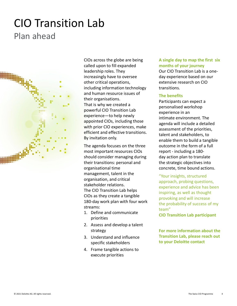### Plan ahead CIO Transition Lab



CIOs across the globe are being called upon to fill expanded leadership roles. They increasingly have to oversee other critical operations, including information technology and human resource issues of their organisations. That is why we created a powerful CIO Transition Lab experience—to help newly appointed CIOs, including those with prior CIO experiences, make efficient and effective transitions. By invitation only.

The agenda focuses on the three most important resources CIOs should consider managing during their transitions: personal and organisational time management, talent in the organisation, and critical stakeholder relations. The CIO Transition Lab helps CIOs as they create a tangible 180-day work plan with four work streams:

- 1. Define and communicate priorities
- 2. Assess and develop a talent strategy
- 3. Understand and influence specific stakeholders
- 4. Frame tangible actions to execute priorities

### **A single day to map the first six months of your journey**

Our CIO Transition Lab is a oneday experience based on our extensive research on CIO transitions.

#### **The benefits**

Participants can expect a personalised workshop experience in an intimate environment. The agenda will include a detailed assessment of the priorities, talent and stakeholders, to enable them to build a tangible outcome in the form of a full report - including a 180 day action plan to translate the strategic objectives into concrete, time bound actions.

"Your insights, structured approach, probing questions, experience and advice has been inspiring, as well as thought provoking and will increase the probability of success of my team"

**CIO Transition Lab participant**

**For more information about the Transition Lab, please reach out to yo[ur Deloitte contact](mailto:chtransitionlabs@deloitte.ch)**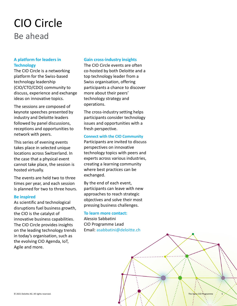### Be ahead CIO Circle

#### **A platform for leaders in Technology**

The CIO Circle is a networking platform for the Swiss-based technology leadership (CIO/CTO/CDO) community to discuss, experience and exchange ideas on innovative topics.

The sessions are composed of keynote speeches presented by industry and Deloitte leaders followed by panel discussions, receptions and opportunities to network with peers.

This series of evening events takes place in selected unique locations across Switzerland. In the case that a physical event cannot take place, the session is hosted virtually.

The events are held two to three times per year, and each session is planned for two to three hours.

#### **Be inspired**

As scientific and technological disruptions fuel business growth, the CIO is the catalyst of innovative business capabilities. The CIO Circle provides insights on the leading technology trends in today's organisation, such as the evolving CIO Agenda, IoT, Agile and more.

#### **Gain cross-industry insights**

The CIO Circle events are often co-hosted by both Deloitte and a top technology leader from a Swiss organisation, offering participants a chance to discover more about their peers' technology strategy and operations.

The cross-industry setting helps participants consider technology issues and opportunities with a fresh perspective.

#### **Connect with the CIO Community**

Participants are invited to discuss perspectives on innovative technology topics with peers and experts across various industries, creating a learning community where best practices can be exchanged.

By the end of each event, participants can leave with new approaches to reach strategic objectives and solve their most pressing business challenges.

#### **To learn more contact:**

Alessio Sabbatini CIO Programme Lead Email: [asabbatini@deloitte.ch](mailto:asabbatini@deloitte.ch)

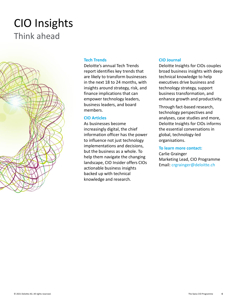### Think ahead CIO Insights



#### **Tech Trends**

Deloitte's annual Tech Trends report identifies key trends that are likely to transform businesses in the next 18 to 24 months, with insights around strategy, risk, and finance implications that can empower technology leaders, business leaders, and board members.

#### **CIO Articles**

As businesses become increasingly digital, the chief information officer has the power to influence not just technology implementations and decisions, but the business as a whole. To help them navigate the changing landscape, CIO Insider offers CIOs actionable business insights backed up with technical knowledge and research.

#### **CIO Journal**

Deloitte Insights for CIOs couples broad business insights with deep technical knowledge to help executives drive business and technology strategy, support business transformation, and enhance growth and productivity.

Through fact-based research, technology perspectives and analyses, case studies and more, Deloitte Insights for CIOs informs the essential conversations in global, technology-led organisations.

#### **To learn more contact:**

Carlie Grainger Marketing Lead, CIO Programme Email: [crgrainger@deloitte.ch](mailto:crgrainger@deloitte.ch)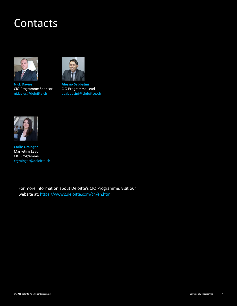### Contacts



**Nick Davies** CIO Programme Sponsor [nidavies@deloitte.ch](mailto:nidavies@deloitte.ch)



**Alessio Sabbatini** CIO Programme Lead [asabbatini@deloitte.ch](mailto:asabbatini@deloitte.ch)



**Carlie Grainger**  Marketing Lead CIO Programme [crgrainger@deloitte.ch](mailto:crgrainger@deloitte.ch)

> For more information about Deloitte's CIO Programme, visit our website at: [https://www2.deloitte.com/ch/en.html](: https:/www2.deloitte.com/ch/en.html)